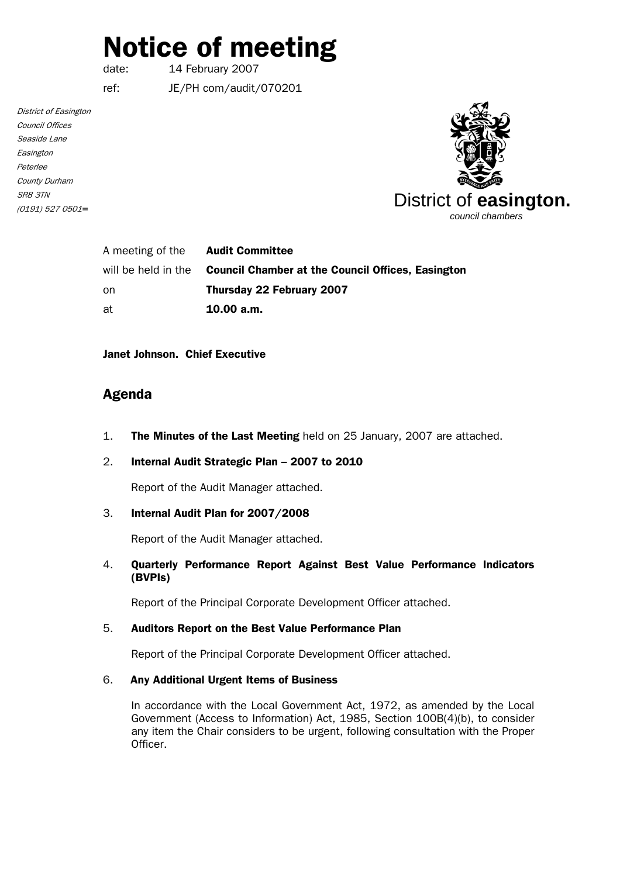# Notice of meeting

date: 14 February 2007

ref: JE/PH com/audit/070201

District of Easington Council Offices Seaside Lane Easington Peterlee County Durham SR8 3TN (0191) 527 0501*=*



| A meeting of the | <b>Audit Committee</b>                                                       |
|------------------|------------------------------------------------------------------------------|
|                  | will be held in the <b>Council Chamber at the Council Offices. Easington</b> |
| on               | Thursday 22 February 2007                                                    |
| at               | 10.00 a.m.                                                                   |

Janet Johnson. Chief Executive

# Agenda

- 1. The Minutes of the Last Meeting held on 25 January, 2007 are attached.
- 2. Internal Audit Strategic Plan 2007 to 2010

Report of the Audit Manager attached.

# 3. Internal Audit Plan for 2007/2008

Report of the Audit Manager attached.

# 4. Quarterly Performance Report Against Best Value Performance Indicators (BVPIs)

Report of the Principal Corporate Development Officer attached.

#### 5. Auditors Report on the Best Value Performance Plan

Report of the Principal Corporate Development Officer attached.

## 6. Any Additional Urgent Items of Business

In accordance with the Local Government Act, 1972, as amended by the Local Government (Access to Information) Act, 1985, Section 100B(4)(b), to consider any item the Chair considers to be urgent, following consultation with the Proper Officer.